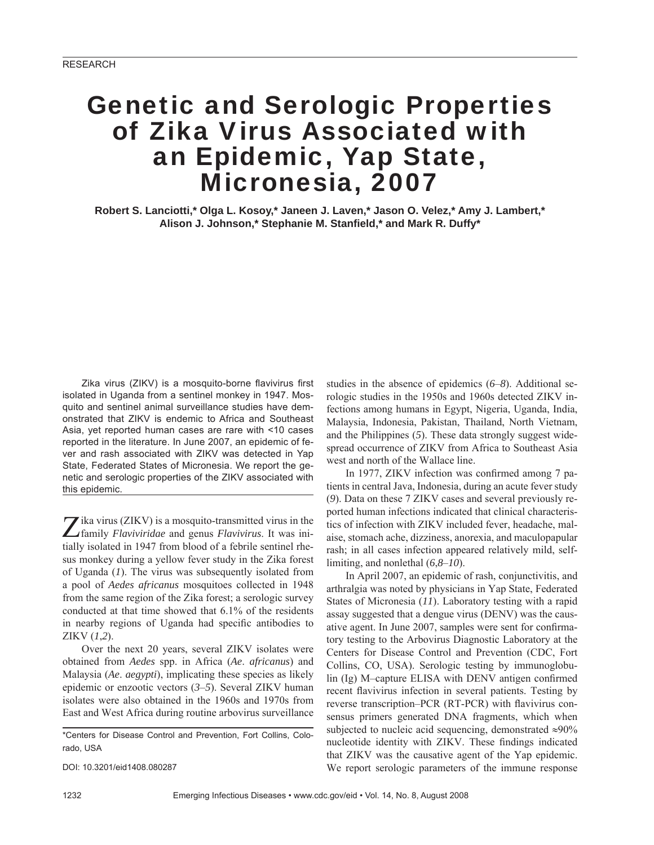# Genetic and Serologic Properties of Zika Virus Associated with an Epidemic, Yap State, Micronesia, 2007

**Robert S. Lanciotti,\* Olga L. Kosoy,\* Janeen J. Laven,\* Jason O. Velez,\* Amy J. Lambert,\***  Alison J. Johnson,\* Stephanie M. Stanfield,\* and Mark R. Duffy\*

Zika virus (ZIKV) is a mosquito-borne flavivirus first isolated in Uganda from a sentinel monkey in 1947. Mosquito and sentinel animal surveillance studies have demonstrated that ZIKV is endemic to Africa and Southeast Asia, yet reported human cases are rare with <10 cases reported in the literature. In June 2007, an epidemic of fever and rash associated with ZIKV was detected in Yap State, Federated States of Micronesia. We report the genetic and serologic properties of the ZIKV associated with this epidemic.

Zika virus (ZIKV) is a mosquito-transmitted virus in the family *Flaviviridae* and genus *Flavivirus*. It was initially isolated in 1947 from blood of a febrile sentinel rhesus monkey during a yellow fever study in the Zika forest of Uganda (*1*). The virus was subsequently isolated from a pool of *Aedes africanus* mosquitoes collected in 1948 from the same region of the Zika forest; a serologic survey conducted at that time showed that 6.1% of the residents in nearby regions of Uganda had specific antibodies to ZIKV (*1*,*2*).

Over the next 20 years, several ZIKV isolates were obtained from *Aedes* spp. in Africa (*Ae*. *africanus*) and Malaysia (*Ae*. *aegypti*), implicating these species as likely epidemic or enzootic vectors (*3*–*5*). Several ZIKV human isolates were also obtained in the 1960s and 1970s from East and West Africa during routine arbovirus surveillance

\*Centers for Disease Control and Prevention, Fort Collins, Colorado, USA

DOI: 10.3201/eid1408.080287

studies in the absence of epidemics (*6*–*8*). Additional serologic studies in the 1950s and 1960s detected ZIKV infections among humans in Egypt, Nigeria, Uganda, India, Malaysia, Indonesia, Pakistan, Thailand, North Vietnam, and the Philippines (*5*). These data strongly suggest widespread occurrence of ZIKV from Africa to Southeast Asia west and north of the Wallace line.

In 1977, ZIKV infection was confirmed among 7 patients in central Java, Indonesia, during an acute fever study (*9*). Data on these 7 ZIKV cases and several previously reported human infections indicated that clinical characteristics of infection with ZIKV included fever, headache, malaise, stomach ache, dizziness, anorexia, and maculopapular rash; in all cases infection appeared relatively mild, selflimiting, and nonlethal (*6*,*8*–*10*).

In April 2007, an epidemic of rash, conjunctivitis, and arthralgia was noted by physicians in Yap State, Federated States of Micronesia (*11*). Laboratory testing with a rapid assay suggested that a dengue virus (DENV) was the causative agent. In June 2007, samples were sent for confirmatory testing to the Arbovirus Diagnostic Laboratory at the Centers for Disease Control and Prevention (CDC, Fort Collins, CO, USA). Serologic testing by immunoglobulin (Ig) M-capture ELISA with DENV antigen confirmed recent flavivirus infection in several patients. Testing by reverse transcription–PCR (RT-PCR) with flavivirus consensus primers generated DNA fragments, which when subjected to nucleic acid sequencing, demonstrated  $\approx 90\%$ nucleotide identity with ZIKV. These findings indicated that ZIKV was the causative agent of the Yap epidemic. We report serologic parameters of the immune response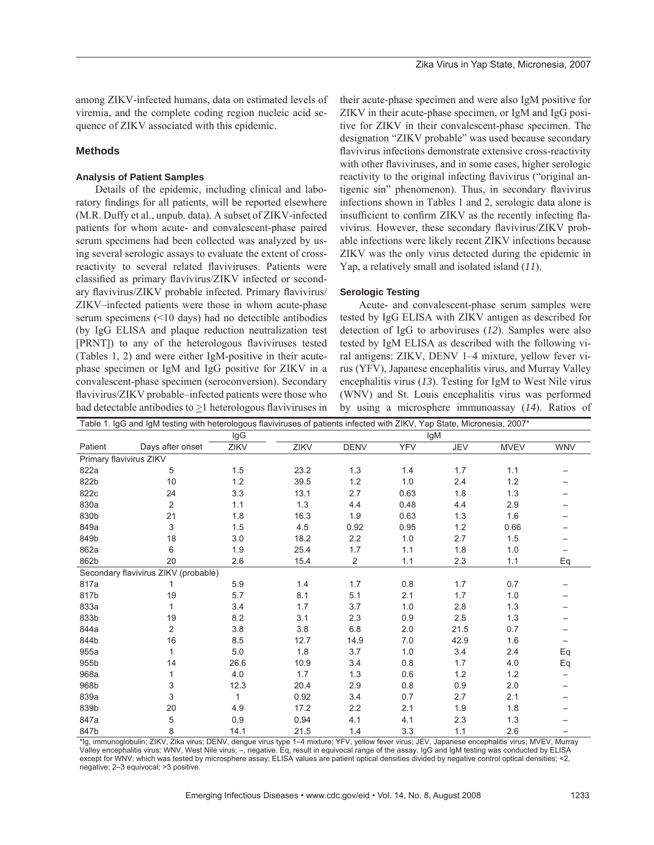among ZIKV-infected humans, data on estimated levels of viremia, and the complete coding region nucleic acid sequence of ZIKV associated with this epidemic.

# **Methods**

# **Analysis of Patient Samples**

Details of the epidemic, including clinical and laboratory findings for all patients, will be reported elsewhere (M.R. Duffy et al., unpub. data). A subset of ZIKV-infected patients for whom acute- and convalescent-phase paired serum specimens had been collected was analyzed by using several serologic assays to evaluate the extent of crossreactivity to several related flaviviruses. Patients were classified as primary flavivirus/ZIKV infected or secondary flavivirus/ZIKV probable infected. Primary flavivirus/ ZIKV–infected patients were those in whom acute-phase serum specimens (<10 days) had no detectible antibodies (by IgG ELISA and plaque reduction neutralization test [PRNT]) to any of the heterologous flaviviruses tested (Tables 1, 2) and were either IgM-positive in their acutephase specimen or IgM and IgG positive for ZIKV in a convalescent-phase specimen (seroconversion). Secondary flavivirus/ZIKV probable–infected patients were those who had detectable antibodies to  $>1$  heterologous flaviviruses in their acute-phase specimen and were also IgM positive for ZIKV in their acute-phase specimen, or IgM and IgG positive for ZIKV in their convalescent-phase specimen. The designation "ZIKV probable" was used because secondary flavivirus infections demonstrate extensive cross-reactivity with other flaviviruses, and in some cases, higher serologic reactivity to the original infecting flavivirus ("original antigenic sin" phenomenon). Thus, in secondary flavivirus infections shown in Tables 1 and 2, serologic data alone is insufficient to confirm ZIKV as the recently infecting flavivirus. However, these secondary flavivirus/ZIKV probable infections were likely recent ZIKV infections because ZIKV was the only virus detected during the epidemic in Yap, a relatively small and isolated island (*11*).

# **Serologic Testing**

Acute- and convalescent-phase serum samples were tested by IgG ELISA with ZIKV antigen as described for detection of IgG to arboviruses (*12*). Samples were also tested by IgM ELISA as described with the following viral antigens: ZIKV, DENV 1–4 mixture, yellow fever virus (YFV), Japanese encephalitis virus, and Murray Valley encephalitis virus (*13*). Testing for IgM to West Nile virus (WNV) and St. Louis encephalitis virus was performed by using a microsphere immunoassay (*14*). Ratios of

|         | Table 1. IgG and IgM testing with heterologous flaviviruses of patients infected with ZIKV, Yap State, Micronesia, 2007* |       |      |                |            |            |             |                   |
|---------|--------------------------------------------------------------------------------------------------------------------------|-------|------|----------------|------------|------------|-------------|-------------------|
|         |                                                                                                                          | IgG   |      |                |            | lgM        |             |                   |
| Patient | Days after onset                                                                                                         | ZIKV  | ZIKV | <b>DENV</b>    | <b>YFV</b> | <b>JEV</b> | <b>MVEV</b> | <b>WNV</b>        |
|         | Primary flavivirus ZIKV                                                                                                  |       |      |                |            |            |             |                   |
| 822a    | 5                                                                                                                        | 1.5   | 23.2 | 1.3            | 1.4        | 1.7        | 1.1         |                   |
| 822b    | 10                                                                                                                       | 1.2   | 39.5 | 1.2            | 1.0        | 2.4        | 1.2         |                   |
| 822c    | 24                                                                                                                       | 3.3   | 13.1 | 2.7            | 0.63       | 1.8        | 1.3         |                   |
| 830a    | 2                                                                                                                        | 1.1   | 1.3  | 4.4            | 0.48       | 4.4        | 2.9         |                   |
| 830b    | 21                                                                                                                       | 1.8   | 16.3 | 1.9            | 0.63       | 1.3        | 1.6         |                   |
| 849a    | 3                                                                                                                        | 1.5   | 4.5  | 0.92           | 0.95       | 1.2        | 0.66        |                   |
| 849b    | 18                                                                                                                       | 3.0   | 18.2 | 2.2            | 1.0        | 2.7        | 1.5         |                   |
| 862a    | 6                                                                                                                        | 1.9   | 25.4 | 1.7            | 1.1        | $1.8\,$    | 1.0         |                   |
| 862b    | 20                                                                                                                       | 2.6   | 15.4 | $\overline{2}$ | 1.1        | 2.3        | 1.1         | Eq                |
|         | Secondary flavivirus ZIKV (probable)                                                                                     |       |      |                |            |            |             |                   |
| 817a    |                                                                                                                          | 5.9   | 1.4  | 1.7            | 0.8        | 1.7        | 0.7         |                   |
| 817b    | 19                                                                                                                       | 5.7   | 8.1  | 5.1            | 2.1        | 1.7        | 1.0         |                   |
| 833a    | 1                                                                                                                        | 3.4   | 1.7  | 3.7            | 1.0        | 2.8        | 1.3         |                   |
| 833b    | 19                                                                                                                       | 8.2   | 3.1  | 2.3            | 0.9        | 2.5        | 1.3         |                   |
| 844a    | 2                                                                                                                        | 3.8   | 3.8  | 6.8            | 2.0        | 21.5       | 0.7         |                   |
| 844b    | 16                                                                                                                       | 8.5   | 12.7 | 14.9           | 7.0        | 42.9       | 1.6         | $\qquad \qquad -$ |
| 955a    |                                                                                                                          | $5.0$ | 1.8  | 3.7            | 1.0        | 3.4        | 2.4         | Eq                |
| 955b    | 14                                                                                                                       | 26.6  | 10.9 | 3.4            | 0.8        | 1.7        | 4.0         | Eq                |
| 968a    | 1                                                                                                                        | 4.0   | 1.7  | 1.3            | 0.6        | 1.2        | 1.2         | $\qquad \qquad$   |
| 968b    | 3                                                                                                                        | 12.3  | 20.4 | 2.9            | 0.8        | 0.9        | 2.0         |                   |
| 839a    | 3                                                                                                                        | 1     | 0.92 | 3.4            | 0.7        | 2.7        | 2.1         |                   |
| 839b    | 20                                                                                                                       | 4.9   | 17.2 | 2.2            | 2.1        | 1.9        | 1.8         |                   |
| 847a    | 5                                                                                                                        | 0.9   | 0.94 | 4.1            | 4.1        | 2.3        | 1.3         |                   |
| 847b    | 8                                                                                                                        | 14.1  | 21.5 | 1.4            | 3.3        | 1.1        | 2.6         |                   |

\*Ig, immunoglobulin; ZIKV, Zika virus; DENV, dengue virus type 1–4 mixture; YFV, yellow fever virus; JEV, Japanese encephalitis virus; MVEV, Murray Valley encephalitis virus; WNV, West Nile virus; –, negative. Eq, result in equivocal range of the assay. IgG and IgM testing was conducted by ELISA except for WNV, which was tested by microsphere assay; ELISA values are patient optical densities divided by negative control optical densities; <2, negative; 2–3 equivocal; >3 positive.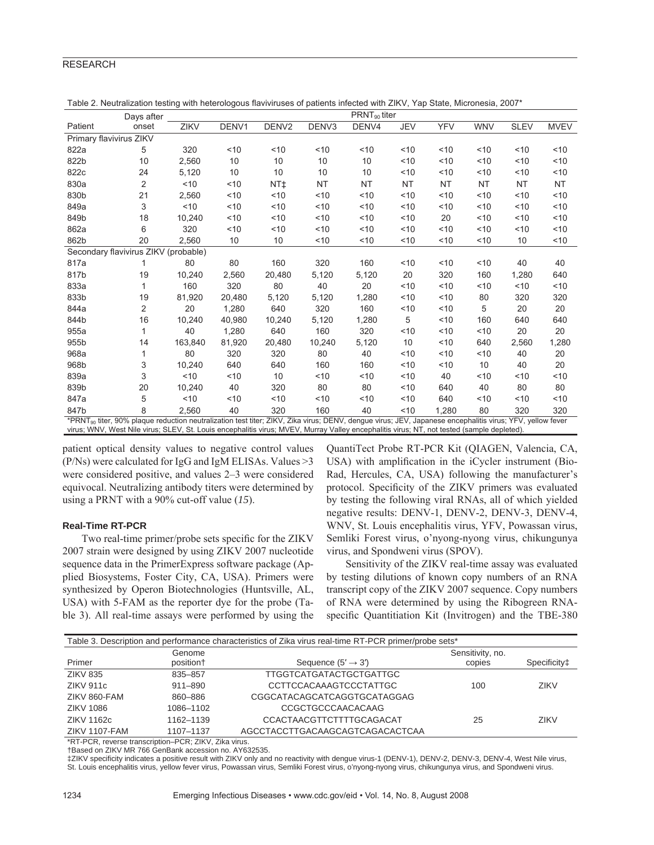# RESEARCH

|                                                                                                                                                                                                                                                                                                                    | Days after                           |             |        |                   |                   | $PRNT_{90}$ titer |            |            |            |             |             |
|--------------------------------------------------------------------------------------------------------------------------------------------------------------------------------------------------------------------------------------------------------------------------------------------------------------------|--------------------------------------|-------------|--------|-------------------|-------------------|-------------------|------------|------------|------------|-------------|-------------|
| Patient                                                                                                                                                                                                                                                                                                            | onset                                | <b>ZIKV</b> | DENV1  | DENV <sub>2</sub> | DENV <sub>3</sub> | DENV4             | <b>JEV</b> | <b>YFV</b> | <b>WNV</b> | <b>SLEV</b> | <b>MVEV</b> |
| Primary flavivirus ZIKV                                                                                                                                                                                                                                                                                            |                                      |             |        |                   |                   |                   |            |            |            |             |             |
| 822a                                                                                                                                                                                                                                                                                                               | 5                                    | 320         | < 10   | ~10               | < 10              | ~10               | ~10        | ~10        | ~10        | ~10         | < 10        |
| 822b                                                                                                                                                                                                                                                                                                               | 10                                   | 2.560       | 10     | 10                | 10                | 10                | < 10       | 10         | 10         | $10^{-1}$   | < 10        |
| 822c                                                                                                                                                                                                                                                                                                               | 24                                   | 5,120       | 10     | 10                | 10                | 10                | ~10        | ~10        | ~10        | 10          | ~10         |
| 830a                                                                                                                                                                                                                                                                                                               | 2                                    | < 10        | 10     | NT <sup>+</sup>   | <b>NT</b>         | <b>NT</b>         | <b>NT</b>  | <b>NT</b>  | <b>NT</b>  | NT          | <b>NT</b>   |
| 830b                                                                                                                                                                                                                                                                                                               | 21                                   | 2,560       | ~10    | < 10              | < 10              | < 10              | ~10        | 10         | ~10        | 10          | < 10        |
| 849a                                                                                                                                                                                                                                                                                                               | 3                                    | < 10        | < 10   | ~10               | < 10              | ~10               | < 10       | ~10        | ~10        | 10          | ~10         |
| 849b                                                                                                                                                                                                                                                                                                               | 18                                   | 10,240      | < 10   | < 10              | < 10              | < 10              | < 10       | 20         | < 10       | 10          | < 10        |
| 862a                                                                                                                                                                                                                                                                                                               | 6                                    | 320         | < 10   | ~10               | < 10              | < 10              | < 10       | < 10       | < 10       | $10^{-1}$   | < 10        |
| 862b                                                                                                                                                                                                                                                                                                               | 20                                   | 2,560       | 10     | 10                | < 10              | ~10               | < 10       | < 10       | ~10        | 10          | < 10        |
|                                                                                                                                                                                                                                                                                                                    | Secondary flavivirus ZIKV (probable) |             |        |                   |                   |                   |            |            |            |             |             |
| 817a                                                                                                                                                                                                                                                                                                               | 1                                    | 80          | 80     | 160               | 320               | 160               | ~10        | ~10        | ~10        | 40          | 40          |
| 817b                                                                                                                                                                                                                                                                                                               | 19                                   | 10,240      | 2,560  | 20,480            | 5,120             | 5,120             | 20         | 320        | 160        | 1,280       | 640         |
| 833a                                                                                                                                                                                                                                                                                                               | 1                                    | 160         | 320    | 80                | 40                | 20                | < 10       | ~10        | ~10        | ~10         | < 10        |
| 833b                                                                                                                                                                                                                                                                                                               | 19                                   | 81,920      | 20,480 | 5,120             | 5,120             | 1,280             | ~10        | 10         | 80         | 320         | 320         |
| 844a                                                                                                                                                                                                                                                                                                               | $\overline{2}$                       | 20          | 1,280  | 640               | 320               | 160               | ~10        | 10         | 5          | 20          | 20          |
| 844b                                                                                                                                                                                                                                                                                                               | 16                                   | 10,240      | 40.980 | 10,240            | 5.120             | 1,280             | 5          | < 10       | 160        | 640         | 640         |
| 955a                                                                                                                                                                                                                                                                                                               | 1                                    | 40          | 1,280  | 640               | 160               | 320               | < 10       | 10         | 10         | 20          | 20          |
| 955b                                                                                                                                                                                                                                                                                                               | 14                                   | 163,840     | 81,920 | 20,480            | 10,240            | 5,120             | 10         | ~10        | 640        | 2,560       | 1,280       |
| 968a                                                                                                                                                                                                                                                                                                               | 1                                    | 80          | 320    | 320               | 80                | 40                | < 10       | 10         | < 10       | 40          | 20          |
| 968b                                                                                                                                                                                                                                                                                                               | 3                                    | 10,240      | 640    | 640               | 160               | 160               | < 10       | ~10        | 10         | 40          | 20          |
| 839a                                                                                                                                                                                                                                                                                                               | 3                                    | < 10        | < 10   | 10                | < 10              | < 10              | < 10       | 40         | ~10        | 10          | < 10        |
| 839b                                                                                                                                                                                                                                                                                                               | 20                                   | 10,240      | 40     | 320               | 80                | 80                | < 10       | 640        | 40         | 80          | 80          |
| 847a                                                                                                                                                                                                                                                                                                               | 5                                    | < 10        | < 10   | ~10               | < 10              | < 10              | < 10       | 640        | 10         | 10          | < 10        |
| 847b                                                                                                                                                                                                                                                                                                               | 8                                    | 2.560       | 40     | 320               | 160               | 40                | < 10       | 1,280      | 80         | 320         | 320         |
| *PRNT <sub>90</sub> titer, 90% plaque reduction neutralization test titer; ZIKV, Zika virus; DENV, dengue virus; JEV, Japanese encephalitis virus; YFV, yellow fever<br>virus; WNV, West Nile virus; SLEV, St. Louis encephalitis virus; MVEV, Murray Valley encephalitis virus; NT, not tested (sample depleted). |                                      |             |        |                   |                   |                   |            |            |            |             |             |
|                                                                                                                                                                                                                                                                                                                    |                                      |             |        |                   |                   |                   |            |            |            |             |             |

Table 2. Neutralization testing with heterologous flaviviruses of patients infected with ZIKV, Yap State, Micronesia, 2007\*

patient optical density values to negative control values  $(P/Ns)$  were calculated for IgG and IgM ELISAs. Values  $>3$ were considered positive, and values 2–3 were considered equivocal. Neutralizing antibody titers were determined by using a PRNT with a 90% cut-off value (*15*).

#### **Real-Time RT-PCR**

Two real-time primer/probe sets specific for the ZIKV 2007 strain were designed by using ZIKV 2007 nucleotide sequence data in the PrimerExpress software package (Applied Biosystems, Foster City, CA, USA). Primers were synthesized by Operon Biotechnologies (Huntsville, AL, USA) with 5-FAM as the reporter dye for the probe (Table 3). All real-time assays were performed by using the QuantiTect Probe RT-PCR Kit (QIAGEN, Valencia, CA, USA) with amplification in the iCycler instrument (Bio-Rad, Hercules, CA, USA) following the manufacturer's protocol. Specificity of the ZIKV primers was evaluated by testing the following viral RNAs, all of which yielded negative results: DENV-1, DENV-2, DENV-3, DENV-4, WNV, St. Louis encephalitis virus, YFV, Powassan virus, Semliki Forest virus, o'nyong-nyong virus, chikungunya virus, and Spondweni virus (SPOV).

Sensitivity of the ZIKV real-time assay was evaluated by testing dilutions of known copy numbers of an RNA transcript copy of the ZIKV 2007 sequence. Copy numbers of RNA were determined by using the Ribogreen RNAspecific Quantitiation Kit (Invitrogen) and the TBE-380

| Table 3. Description and performance characteristics of Zika virus real-time RT-PCR primer/probe sets* |             |                                 |                  |              |  |  |  |
|--------------------------------------------------------------------------------------------------------|-------------|---------------------------------|------------------|--------------|--|--|--|
|                                                                                                        | Genome      |                                 | Sensitivity, no. |              |  |  |  |
| Primer                                                                                                 | position+   | Sequence $(5' \rightarrow 3')$  | copies           | Specificity‡ |  |  |  |
| <b>ZIKV 835</b>                                                                                        | 835-857     | <b>TTGGTCATGATACTGCTGATTGC</b>  |                  |              |  |  |  |
| <b>ZIKV 911c</b>                                                                                       | $911 - 890$ | <b>CCTTCCACAAAGTCCCTATTGC</b>   | 100              | <b>ZIKV</b>  |  |  |  |
| ZIKV 860-FAM                                                                                           | 860-886     | CGGCATACAGCATCAGGTGCATAGGAG     |                  |              |  |  |  |
| ZIKV 1086                                                                                              | 1086-1102   | CCGCTGCCCAACACAAG               |                  |              |  |  |  |
| ZIKV 1162c                                                                                             | 1162-1139   | CCACTAACGTTCTTTTGCAGACAT        | 25               | <b>ZIKV</b>  |  |  |  |
| ZIKV 1107-FAM                                                                                          | 1107-1137   | AGCCTACCTTGACAAGCAGTCAGACACTCAA |                  |              |  |  |  |

\*RT-PCR, reverse transcription–PCR; ZIKV, Zika virus.

†Based on ZIKV MR 766 GenBank accession no. AY632535.

‡ZIKV specificity indicates a positive result with ZIKV only and no reactivity with dengue virus-1 (DENV-1), DENV-2, DENV-3, DENV-4, West Nile virus, St. Louis encephalitis virus, yellow fever virus, Powassan virus, Semliki Forest virus, o'nyong-nyong virus, chikungunya virus, and Spondweni virus.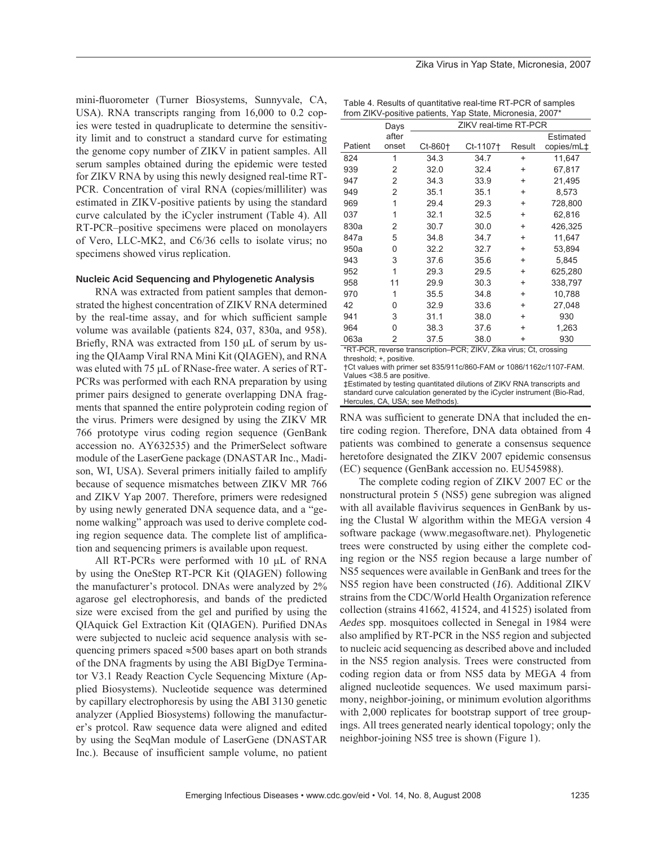mini-fluorometer (Turner Biosystems, Sunnyvale, CA, USA). RNA transcripts ranging from 16,000 to 0.2 copies were tested in quadruplicate to determine the sensitivity limit and to construct a standard curve for estimating the genome copy number of ZIKV in patient samples. All serum samples obtained during the epidemic were tested for ZIKV RNA by using this newly designed real-time RT-PCR. Concentration of viral RNA (copies/milliliter) was estimated in ZIKV-positive patients by using the standard curve calculated by the iCycler instrument (Table 4). All RT-PCR–positive specimens were placed on monolayers of Vero, LLC-MK2, and C6/36 cells to isolate virus; no specimens showed virus replication.

#### **Nucleic Acid Sequencing and Phylogenetic Analysis**

RNA was extracted from patient samples that demonstrated the highest concentration of ZIKV RNA determined by the real-time assay, and for which sufficient sample volume was available (patients 824, 037, 830a, and 958). Briefly, RNA was extracted from 150 μL of serum by using the QIAamp Viral RNA Mini Kit (QIAGEN), and RNA was eluted with 75 μL of RNase-free water. A series of RT-PCRs was performed with each RNA preparation by using primer pairs designed to generate overlapping DNA fragments that spanned the entire polyprotein coding region of the virus. Primers were designed by using the ZIKV MR 766 prototype virus coding region sequence (GenBank accession no. AY632535) and the PrimerSelect software module of the LaserGene package (DNASTAR Inc., Madison, WI, USA). Several primers initially failed to amplify because of sequence mismatches between ZIKV MR 766 and ZIKV Yap 2007. Therefore, primers were redesigned by using newly generated DNA sequence data, and a "genome walking" approach was used to derive complete coding region sequence data. The complete list of amplification and sequencing primers is available upon request.

All RT-PCRs were performed with 10 μL of RNA by using the OneStep RT-PCR Kit (QIAGEN) following the manufacturer's protocol. DNAs were analyzed by 2% agarose gel electrophoresis, and bands of the predicted size were excised from the gel and purified by using the QIAquick Gel Extraction Kit (QIAGEN). Purified DNAs were subjected to nucleic acid sequence analysis with sequencing primers spaced  $\approx$ 500 bases apart on both strands of the DNA fragments by using the ABI BigDye Terminator V3.1 Ready Reaction Cycle Sequencing Mixture (Applied Biosystems). Nucleotide sequence was determined by capillary electrophoresis by using the ABI 3130 genetic analyzer (Applied Biosystems) following the manufacturer's protcol. Raw sequence data were aligned and edited by using the SeqMan module of LaserGene (DNASTAR Inc.). Because of insufficient sample volume, no patient

Table 4. Results of quantitative real-time RT-PCR of samples from ZIKV-positive patients, Yap State, Micronesia, 2007\*

|                                                                    | Days  |           |          | ZIKV real-time RT-PCR |            |  |  |
|--------------------------------------------------------------------|-------|-----------|----------|-----------------------|------------|--|--|
|                                                                    | after |           |          |                       | Estimated  |  |  |
| Patient                                                            | onset | $Ct-860+$ | Ct-1107† | Result                | copies/mL‡ |  |  |
| 824                                                                | 1     | 34.3      | 34.7     | $\ddot{}$             | 11,647     |  |  |
| 939                                                                | 2     | 32.0      | 32.4     | $\ddot{}$             | 67,817     |  |  |
| 947                                                                | 2     | 34.3      | 33.9     | $\ddot{}$             | 21,495     |  |  |
| 949                                                                | 2     | 35.1      | 35.1     | $\ddot{}$             | 8,573      |  |  |
| 969                                                                | 1     | 29.4      | 29.3     | $\ddot{}$             | 728,800    |  |  |
| 037                                                                | 1     | 32.1      | 32.5     | $\ddot{}$             | 62,816     |  |  |
| 830a                                                               | 2     | 30.7      | 30.0     | $\ddot{}$             | 426,325    |  |  |
| 847a                                                               | 5     | 34.8      | 34.7     | $\ddot{}$             | 11,647     |  |  |
| 950a                                                               | 0     | 32.2      | 32.7     | $\ddot{}$             | 53,894     |  |  |
| 943                                                                | 3     | 37.6      | 35.6     | $\ddot{}$             | 5,845      |  |  |
| 952                                                                | 1     | 29.3      | 29.5     | $\ddot{}$             | 625,280    |  |  |
| 958                                                                | 11    | 29.9      | 30.3     | $\ddot{}$             | 338,797    |  |  |
| 970                                                                | 1     | 35.5      | 34.8     | $\ddot{}$             | 10,788     |  |  |
| 42                                                                 | 0     | 32.9      | 33.6     | $\ddot{}$             | 27,048     |  |  |
| 941                                                                | 3     | 31.1      | 38.0     | $\ddot{}$             | 930        |  |  |
| 964                                                                | 0     | 38.3      | 37.6     | $\ddot{}$             | 1,263      |  |  |
| 063a                                                               | 2     | 37.5      | 38.0     | $\ddot{}$             | 930        |  |  |
| *RT-PCR, reverse transcription-PCR; ZIKV, Zika virus; Ct, crossing |       |           |          |                       |            |  |  |

threshold; +, positive.

†Ct values with primer set 835/911c/860-FAM or 1086/1162c/1107-FAM. Values <38.5 are positive.

‡Estimated by testing quantitated dilutions of ZIKV RNA transcripts and standard curve calculation generated by the iCycler instrument (Bio-Rad, Hercules, CA, USA; see Methods).

RNA was sufficient to generate DNA that included the entire coding region. Therefore, DNA data obtained from 4 patients was combined to generate a consensus sequence heretofore designated the ZIKV 2007 epidemic consensus (EC) sequence (GenBank accession no. EU545988).

The complete coding region of ZIKV 2007 EC or the nonstructural protein 5 (NS5) gene subregion was aligned with all available flavivirus sequences in GenBank by using the Clustal W algorithm within the MEGA version 4 software package (www.megasoftware.net). Phylogenetic trees were constructed by using either the complete coding region or the NS5 region because a large number of NS5 sequences were available in GenBank and trees for the NS5 region have been constructed (*16*). Additional ZIKV strains from the CDC/World Health Organization reference collection (strains 41662, 41524, and 41525) isolated from *Aedes* spp. mosquitoes collected in Senegal in 1984 were also amplified by RT-PCR in the NS5 region and subjected to nucleic acid sequencing as described above and included in the NS5 region analysis. Trees were constructed from coding region data or from NS5 data by MEGA 4 from aligned nucleotide sequences. We used maximum parsimony, neighbor-joining, or minimum evolution algorithms with 2,000 replicates for bootstrap support of tree groupings. All trees generated nearly identical topology; only the neighbor-joining NS5 tree is shown (Figure 1).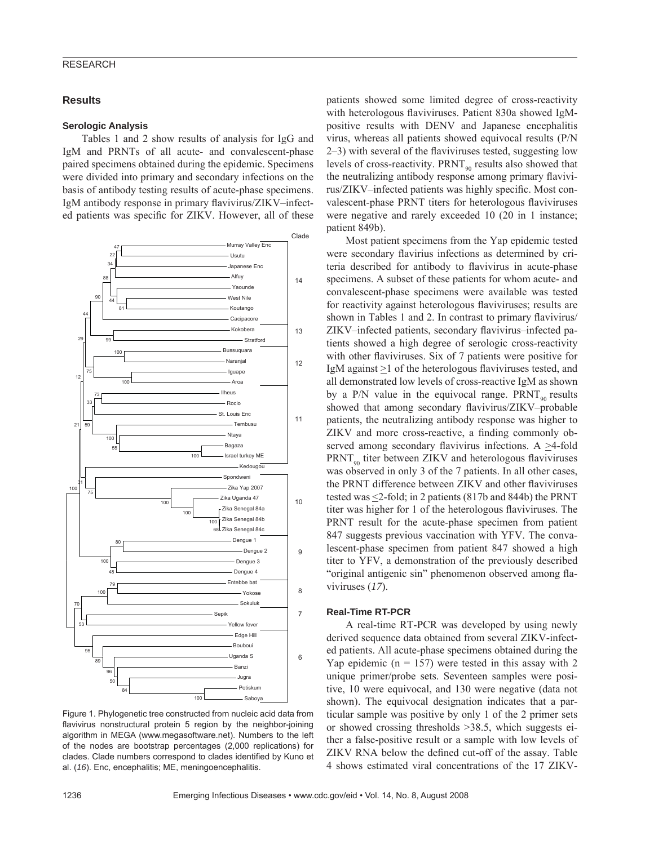#### RESEARCH

#### **Results**

#### **Serologic Analysis**

Tables 1 and 2 show results of analysis for IgG and IgM and PRNTs of all acute- and convalescent-phase paired specimens obtained during the epidemic. Specimens were divided into primary and secondary infections on the basis of antibody testing results of acute-phase specimens. IgM antibody response in primary flavivirus/ZIKV–infected patients was specific for ZIKV. However, all of these



Figure 1. Phylogenetic tree constructed from nucleic acid data from flavivirus nonstructural protein 5 region by the neighbor-joining algorithm in MEGA (www.megasoftware.net). Numbers to the left of the nodes are bootstrap percentages (2,000 replications) for clades. Clade numbers correspond to clades identified by Kuno et al. (*16*). Enc, encephalitis; ME, meningoencephalitis.

patients showed some limited degree of cross-reactivity with heterologous flaviviruses. Patient 830a showed IgMpositive results with DENV and Japanese encephalitis virus, whereas all patients showed equivocal results (P/N  $2-3$ ) with several of the flaviviruses tested, suggesting low levels of cross-reactivity.  $PRNT_{90}$  results also showed that the neutralizing antibody response among primary flavivirus/ZIKV–infected patients was highly specific. Most convalescent-phase PRNT titers for heterologous flaviviruses were negative and rarely exceeded 10 (20 in 1 instance; patient 849b).

Most patient specimens from the Yap epidemic tested were secondary flavirius infections as determined by criteria described for antibody to flavivirus in acute-phase specimens. A subset of these patients for whom acute- and convalescent-phase specimens were available was tested for reactivity against heterologous flaviviruses; results are shown in Tables 1 and 2. In contrast to primary flavivirus/ ZIKV–infected patients, secondary flavivirus–infected patients showed a high degree of serologic cross-reactivity with other flaviviruses. Six of 7 patients were positive for IgM against >1 of the heterologous flaviviruses tested, and all demonstrated low levels of cross-reactive IgM as shown by a P/N value in the equivocal range.  $PRNT_{90}$  results showed that among secondary flavivirus/ZIKV–probable patients, the neutralizing antibody response was higher to ZIKV and more cross-reactive, a finding commonly observed among secondary flavivirus infections. A  $\geq$ 4-fold  $PRNT_{q_0}$  titer between ZIKV and heterologous flaviviruses was observed in only 3 of the 7 patients. In all other cases, the PRNT difference between ZIKV and other flaviviruses tested was  $\leq$ 2-fold; in 2 patients (817b and 844b) the PRNT titer was higher for 1 of the heterologous flaviviruses. The PRNT result for the acute-phase specimen from patient 847 suggests previous vaccination with YFV. The convalescent-phase specimen from patient 847 showed a high titer to YFV, a demonstration of the previously described "original antigenic sin" phenomenon observed among flaviviruses (*17*).

#### **Real-Time RT-PCR**

A real-time RT-PCR was developed by using newly derived sequence data obtained from several ZIKV-infected patients. All acute-phase specimens obtained during the Yap epidemic ( $n = 157$ ) were tested in this assay with 2 unique primer/probe sets. Seventeen samples were positive, 10 were equivocal, and 130 were negative (data not shown). The equivocal designation indicates that a particular sample was positive by only 1 of the 2 primer sets or showed crossing thresholds >38.5, which suggests either a false-positive result or a sample with low levels of ZIKV RNA below the defined cut-off of the assay. Table 4 shows estimated viral concentrations of the 17 ZIKV-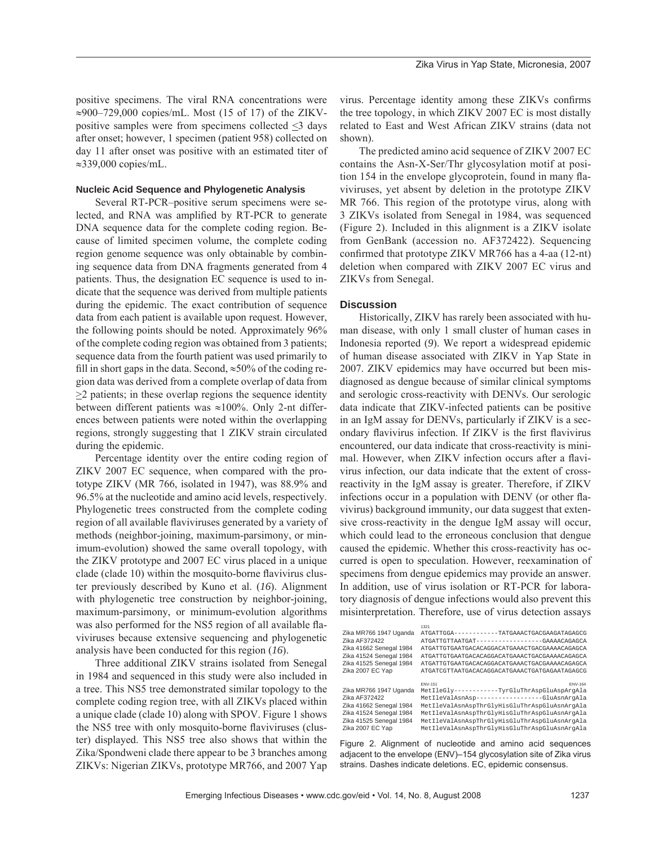positive specimens. The viral RNA concentrations were  $\approx$ 900–729,000 copies/mL. Most (15 of 17) of the ZIKVpositive samples were from specimens collected <3 days after onset; however, 1 specimen (patient 958) collected on day 11 after onset was positive with an estimated titer of ≈339,000 copies/mL.

#### **Nucleic Acid Sequence and Phylogenetic Analysis**

Several RT-PCR–positive serum specimens were selected, and RNA was amplified by RT-PCR to generate DNA sequence data for the complete coding region. Because of limited specimen volume, the complete coding region genome sequence was only obtainable by combining sequence data from DNA fragments generated from 4 patients. Thus, the designation EC sequence is used to indicate that the sequence was derived from multiple patients during the epidemic. The exact contribution of sequence data from each patient is available upon request. However, the following points should be noted. Approximately 96% of the complete coding region was obtained from 3 patients; sequence data from the fourth patient was used primarily to fill in short gaps in the data. Second,  $\approx$ 50% of the coding region data was derived from a complete overlap of data from >2 patients; in these overlap regions the sequence identity between different patients was ≈100%. Only 2-nt differences between patients were noted within the overlapping regions, strongly suggesting that 1 ZIKV strain circulated during the epidemic.

Percentage identity over the entire coding region of ZIKV 2007 EC sequence, when compared with the prototype ZIKV (MR 766, isolated in 1947), was 88.9% and 96.5% at the nucleotide and amino acid levels, respectively. Phylogenetic trees constructed from the complete coding region of all available flaviviruses generated by a variety of methods (neighbor-joining, maximum-parsimony, or minimum-evolution) showed the same overall topology, with the ZIKV prototype and 2007 EC virus placed in a unique clade (clade 10) within the mosquito-borne flavivirus cluster previously described by Kuno et al. (*16*). Alignment with phylogenetic tree construction by neighbor-joining, maximum-parsimony, or minimum-evolution algorithms was also performed for the NS5 region of all available flaviviruses because extensive sequencing and phylogenetic analysis have been conducted for this region (*16*).

Three additional ZIKV strains isolated from Senegal in 1984 and sequenced in this study were also included in a tree. This NS5 tree demonstrated similar topology to the complete coding region tree, with all ZIKVs placed within a unique clade (clade 10) along with SPOV. Figure 1 shows the NS5 tree with only mosquito-borne flaviviruses (cluster) displayed. This NS5 tree also shows that within the Zika/Spondweni clade there appear to be 3 branches among ZIKVs: Nigerian ZIKVs, prototype MR766, and 2007 Yap virus. Percentage identity among these ZIKVs confirms the tree topology, in which ZIKV 2007 EC is most distally related to East and West African ZIKV strains (data not shown).

The predicted amino acid sequence of ZIKV 2007 EC contains the Asn-X-Ser/Thr glycosylation motif at position 154 in the envelope glycoprotein, found in many flaviviruses, yet absent by deletion in the prototype ZIKV MR 766. This region of the prototype virus, along with 3 ZIKVs isolated from Senegal in 1984, was sequenced (Figure 2). Included in this alignment is a ZIKV isolate from GenBank (accession no. AF372422). Sequencing confirmed that prototype ZIKV MR766 has a 4-aa  $(12-nt)$ deletion when compared with ZIKV 2007 EC virus and ZIKVs from Senegal.

# **Discussion**

Historically, ZIKV has rarely been associated with human disease, with only 1 small cluster of human cases in Indonesia reported (*9*). We report a widespread epidemic of human disease associated with ZIKV in Yap State in 2007. ZIKV epidemics may have occurred but been misdiagnosed as dengue because of similar clinical symptoms and serologic cross-reactivity with DENVs. Our serologic data indicate that ZIKV-infected patients can be positive in an IgM assay for DENVs, particularly if ZIKV is a secondary flavivirus infection. If ZIKV is the first flavivirus encountered, our data indicate that cross-reactivity is minimal. However, when ZIKV infection occurs after a flavivirus infection, our data indicate that the extent of crossreactivity in the IgM assay is greater. Therefore, if ZIKV infections occur in a population with DENV (or other flavivirus) background immunity, our data suggest that extensive cross-reactivity in the dengue IgM assay will occur, which could lead to the erroneous conclusion that dengue caused the epidemic. Whether this cross-reactivity has occurred is open to speculation. However, reexamination of specimens from dengue epidemics may provide an answer. In addition, use of virus isolation or RT-PCR for laboratory diagnosis of dengue infections would also prevent this misinterpretation. Therefore, use of virus detection assays

|                                                                                                                          | 1321                                          |
|--------------------------------------------------------------------------------------------------------------------------|-----------------------------------------------|
| Zika MR766 1947 Uganda                                                                                                   | ATGATTGGA-----------TATGAAACTGACGAAGATAGAGCG  |
| Zika AF372422                                                                                                            | ATGATTGTTAATGAT-----------------GAAAACAGAGCA  |
| Zika 41662 Senegal 1984                                                                                                  | ATGATTGTGAATGACACAGGACATGAAACTGACGAAAACAGAGCA |
| Zika 41524 Senegal 1984                                                                                                  | ATGATTGTGAATGACACAGGACATGAAACTGACGAAAACAGAGCA |
| Zika 41525 Senegal 1984                                                                                                  | ATGATTGTGAATGACACAGGACATGAAACTGACGAAAACAGAGCA |
| Zika 2007 EC Yap                                                                                                         | ATGATCGTTAATGACACAGGACATGAAACTGATGAGAATAGAGCG |
|                                                                                                                          |                                               |
|                                                                                                                          |                                               |
|                                                                                                                          | <b>FNV-151</b><br><b>FNV-164</b>              |
|                                                                                                                          | MetIleGlv------------TvrGluThrAspGluAspArgAla |
|                                                                                                                          | MetIleValAsnAsp----------------GluAsnArgAla   |
|                                                                                                                          | MetIleValAsnAspThrGlyHisGluThrAspGluAsnArqAla |
|                                                                                                                          | MetIleValAsnAspThrGlyHisGluThrAspGluAsnArqAla |
| Zika MR766 1947 Uganda<br>Zika AF372422<br>Zika 41662 Senegal 1984<br>Zika 41524 Senegal 1984<br>Zika 41525 Senegal 1984 | MetIleValAsnAspThrGlyHisGluThrAspGluAsnArqAla |
| Zika 2007 EC Yap                                                                                                         | MetIleValAsnAspThrGlyHisGluThrAspGluAsnArqAla |

Figure 2. Alignment of nucleotide and amino acid sequences adjacent to the envelope (ENV)–154 glycosylation site of Zika virus strains. Dashes indicate deletions. EC, epidemic consensus.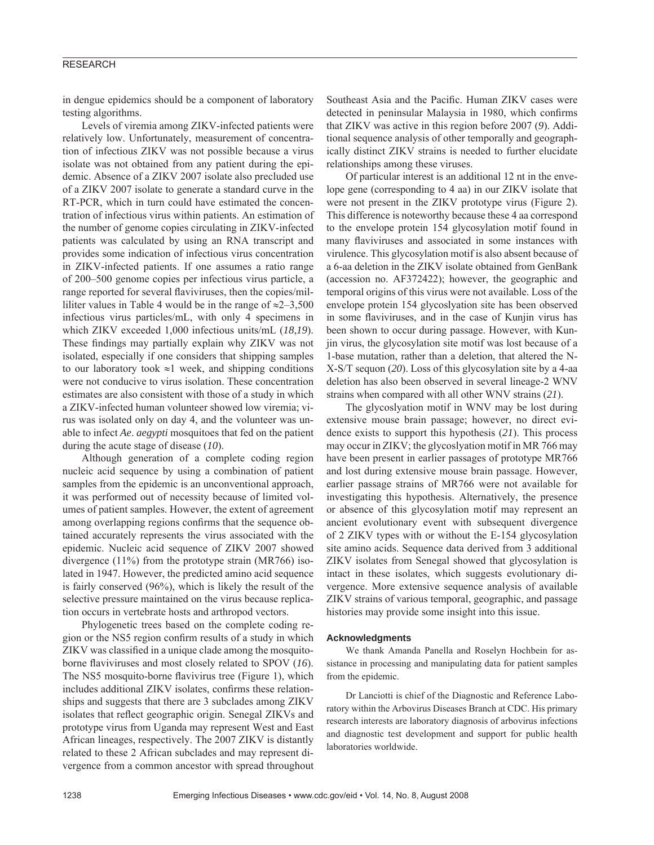# RESEARCH

in dengue epidemics should be a component of laboratory testing algorithms.

Levels of viremia among ZIKV-infected patients were relatively low. Unfortunately, measurement of concentration of infectious ZIKV was not possible because a virus isolate was not obtained from any patient during the epidemic. Absence of a ZIKV 2007 isolate also precluded use of a ZIKV 2007 isolate to generate a standard curve in the RT-PCR, which in turn could have estimated the concentration of infectious virus within patients. An estimation of the number of genome copies circulating in ZIKV-infected patients was calculated by using an RNA transcript and provides some indication of infectious virus concentration in ZIKV-infected patients. If one assumes a ratio range of 200–500 genome copies per infectious virus particle, a range reported for several flaviviruses, then the copies/milliliter values in Table 4 would be in the range of  $\approx 2-3,500$ infectious virus particles/mL, with only 4 specimens in which ZIKV exceeded 1,000 infectious units/mL (*18*,*19*). These findings may partially explain why ZIKV was not isolated, especially if one considers that shipping samples to our laboratory took  $\approx$ 1 week, and shipping conditions were not conducive to virus isolation. These concentration estimates are also consistent with those of a study in which a ZIKV-infected human volunteer showed low viremia; virus was isolated only on day 4, and the volunteer was unable to infect *Ae*. *aegypti* mosquitoes that fed on the patient during the acute stage of disease (*10*).

Although generation of a complete coding region nucleic acid sequence by using a combination of patient samples from the epidemic is an unconventional approach, it was performed out of necessity because of limited volumes of patient samples. However, the extent of agreement among overlapping regions confirms that the sequence obtained accurately represents the virus associated with the epidemic. Nucleic acid sequence of ZIKV 2007 showed divergence (11%) from the prototype strain (MR766) isolated in 1947. However, the predicted amino acid sequence is fairly conserved (96%), which is likely the result of the selective pressure maintained on the virus because replication occurs in vertebrate hosts and arthropod vectors.

Phylogenetic trees based on the complete coding region or the NS5 region confirm results of a study in which ZIKV was classified in a unique clade among the mosquitoborne flaviviruses and most closely related to SPOV (16). The NS5 mosquito-borne flavivirus tree (Figure 1), which includes additional ZIKV isolates, confirms these relationships and suggests that there are 3 subclades among ZIKV isolates that reflect geographic origin. Senegal ZIKVs and prototype virus from Uganda may represent West and East African lineages, respectively. The 2007 ZIKV is distantly related to these 2 African subclades and may represent divergence from a common ancestor with spread throughout

Southeast Asia and the Pacific. Human ZIKV cases were detected in peninsular Malaysia in 1980, which confirms that ZIKV was active in this region before 2007 (*9*). Additional sequence analysis of other temporally and geographically distinct ZIKV strains is needed to further elucidate relationships among these viruses.

Of particular interest is an additional 12 nt in the envelope gene (corresponding to 4 aa) in our ZIKV isolate that were not present in the ZIKV prototype virus (Figure 2). This difference is noteworthy because these 4 aa correspond to the envelope protein 154 glycosylation motif found in many flaviviruses and associated in some instances with virulence. This glycosylation motif is also absent because of a 6-aa deletion in the ZIKV isolate obtained from GenBank (accession no. AF372422); however, the geographic and temporal origins of this virus were not available. Loss of the envelope protein 154 glycoslyation site has been observed in some flaviviruses, and in the case of Kunjin virus has been shown to occur during passage. However, with Kunjin virus, the glycosylation site motif was lost because of a 1-base mutation, rather than a deletion, that altered the N-X-S/T sequon (*20*). Loss of this glycosylation site by a 4-aa deletion has also been observed in several lineage-2 WNV strains when compared with all other WNV strains (*21*).

The glycoslyation motif in WNV may be lost during extensive mouse brain passage; however, no direct evidence exists to support this hypothesis (*21*). This process may occur in ZIKV; the glycoslyation motif in MR 766 may have been present in earlier passages of prototype MR766 and lost during extensive mouse brain passage. However, earlier passage strains of MR766 were not available for investigating this hypothesis. Alternatively, the presence or absence of this glycosylation motif may represent an ancient evolutionary event with subsequent divergence of 2 ZIKV types with or without the E-154 glycosylation site amino acids. Sequence data derived from 3 additional ZIKV isolates from Senegal showed that glycosylation is intact in these isolates, which suggests evolutionary divergence. More extensive sequence analysis of available ZIKV strains of various temporal, geographic, and passage histories may provide some insight into this issue.

#### **Acknowledgments**

We thank Amanda Panella and Roselyn Hochbein for assistance in processing and manipulating data for patient samples from the epidemic.

Dr Lanciotti is chief of the Diagnostic and Reference Laboratory within the Arbovirus Diseases Branch at CDC. His primary research interests are laboratory diagnosis of arbovirus infections and diagnostic test development and support for public health laboratories worldwide.